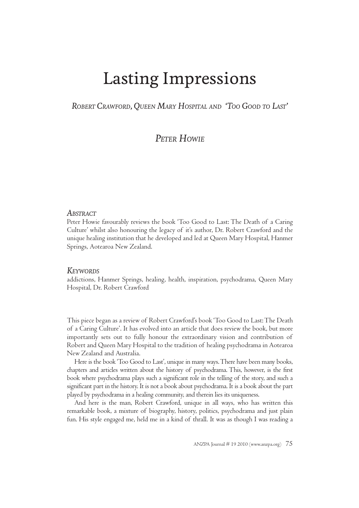# Lasting Impressions

*ROBERT CRAWFORD, Q UEEN MARY HOSPITAL AND 'TOO GOOD TO LAST'*

*PETER HOWIE*

#### *ABSTRACT*

Peter Howie favourably reviews the book 'Too Good to Last: The Death of a Caring Culture' whilst also honouring the legacy of it's author, Dr. Robert Crawford and the unique healing institution that he developed and led at Queen Mary Hospital, Hanmer Springs, Aotearoa New Zealand.

#### *KEYWORDS*

addictions, Hanmer Springs, healing, health, inspiration, psychodrama, Queen Mary Hospital, Dr. Robert Crawford

This piece began as a review of Robert Crawford's book 'Too Good to Last: The Death of a Caring Culture'. It has evolved into an article that does review the book, but more importantly sets out to fully honour the extraordinary vision and contribution of Robert and Queen Mary Hospital to the tradition of healing psychodrama in Aotearoa New Zealand and Australia.

Here is the book 'Too Good to Last', unique in many ways. There have been many books, chapters and articles written about the history of psychodrama. This, however, is the first book where psychodrama plays such a significant role in the telling of the story, and such a significant part in the history. It is not a book about psychodrama. It is a book about the part played by psychodrama in a healing community, and therein lies its uniqueness.

And here is the man, Robert Crawford, unique in all ways, who has written this remarkable book, a mixture of biography, history, politics, psychodrama and just plain fun. His style engaged me, held me in a kind of thrall. It was as though I was reading a

ANZPA Journal  $#$  19 2010 (www.anzpa.org)  $75$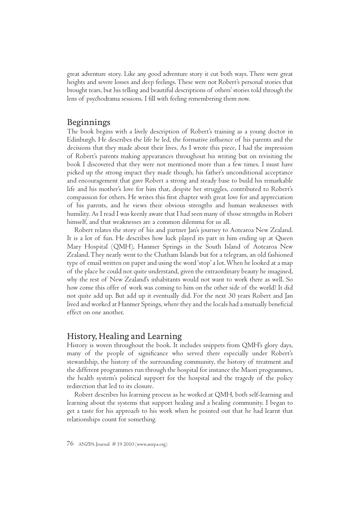great adventure story. Like any good adventure story it cut both ways. There were great heights and severe losses and deep feelings. These were not Robert's personal stories that brought tears, but his telling and beautiful descriptions of others' stories told through the lens of psychodrama sessions. I fill with feeling remembering them now.

#### Beginnings

The book begins with a lively description of Robert's training as a young doctor in Edinburgh. He describes the life he led, the formative influence of his parents and the decisions that they made about their lives. As I wrote this piece, I had the impression of Robert's parents making appearances throughout his writing but on revisiting the book I discovered that they were not mentioned more than a few times. I must have picked up the strong impact they made though, his father's unconditional acceptance and encouragement that gave Robert a strong and steady base to build his remarkable life and his mother's love for him that, despite her struggles, contributed to Robert's compassion for others. He writes this first chapter with great love for and appreciation of his parents, and he views their obvious strengths and human weaknesses with humility. As I read I was keenly aware that I had seen many of those strengths in Robert himself, and that weaknesses are a common dilemma for us all.

Robert relates the story of his and partner Jan's journey to Aotearoa New Zealand. It is a lot of fun. He describes how luck played its part in him ending up at Queen Mary Hospital (QMH), Hanmer Springs in the South Island of Aotearoa New Zealand. They nearly went to the Chatham Islands but for a telegram, an old fashioned type of email written on paper and using the word 'stop' a lot. When he looked at a map of the place he could not quite understand, given the extraordinary beauty he imagined, why the rest of New Zealand's inhabitants would not want to work there as well. So how come this offer of work was coming to him on the other side of the world? It did not quite add up. But add up it eventually did. For the next 30 years Robert and Jan lived and worked at Hanmer Springs, where they and the locals had a mutually beneficial effect on one another.

#### History, Healing and Learning

History is woven throughout the book. It includes snippets from QMH's glory days, many of the people of significance who served there especially under Robert's stewardship, the history of the surrounding community, the history of treatment and the different programmes run through the hospital for instance the Maori programmes, the health system's political support for the hospital and the tragedy of the policy redirection that led to its closure.

Robert describes his learning process as he worked at QMH, both self-learning and learning about the systems that support healing and a healing community. I began to get a taste for his approach to his work when he pointed out that he had learnt that relationships count for something*.*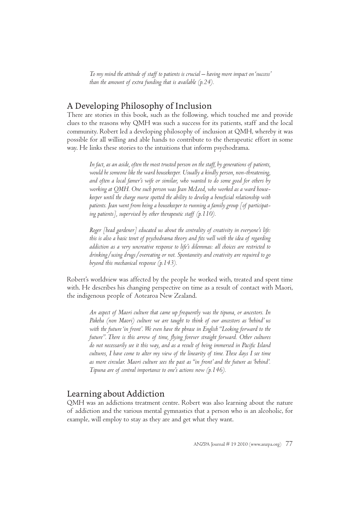*To my mind the attitude of staff to patients is crucial – having more impact on 'success' than the amount of extra funding that is available (p.24).*

# A Developing Philosophy of Inclusion

There are stories in this book, such as the following, which touched me and provide clues to the reasons why QMH was such a success for its patients, staff and the local community. Robert led a developing philosophy of inclusion at QMH, whereby it was possible for all willing and able hands to contribute to the therapeutic effort in some way. He links these stories to the intuitions that inform psychodrama.

*In fact, as an aside, often the most trusted person on the staff, by generations of patients, would be someone like the ward housekeeper. Usually a kindly person, non-threatening, and often a local famer's wife or similar, who wanted to do some good for others by working at QMH. One such person was Jean McLeod, who worked as a ward housekeeper until the charge nurse spotted the ability to develop a benefi cial relationship with patients. Jean went from being a housekeeper to running a family group [of participating patients], supervised by other therapeutic staff (p.110).*

*Roger [head gardener] educated us about the centrality of creativity in everyone's life: this is also a basic tenet of psychodrama theory and fi ts well with the idea of regarding addiction as a very uncreative response to life's dilemmas: all choices are restricted to drinking/using drugs/overeating or not. Spontaneity and creativity are required to go beyond this mechanical response (p.143).*

Robert's worldview was affected by the people he worked with, treated and spent time with. He describes his changing perspective on time as a result of contact with Maori, the indigenous people of Aotearoa New Zealand.

*An aspect of Maori culture that came up frequently was the tipuna, or ancestors. In Pakeha (non Maori) culture we are taught to think of our ancestors as 'behind' us*  with the future 'in front'. We even have the phrase in English "Looking forward to the future". There is this arrow of time, flying forever straight forward. Other cultures *do not necessarily see it this way, and as a result of being immersed in Pacifi c Island cultures, I have come to alter my view of the linearity of time. These days I see time as more circular. Maori culture sees the past as "in front' and the future as 'behind'. Tipuna are of central importance to one's actions now (p.146).*

## Learning about Addiction

QMH was an addictions treatment centre. Robert was also learning about the nature of addiction and the various mental gymnastics that a person who is an alcoholic, for example, will employ to stay as they are and get what they want.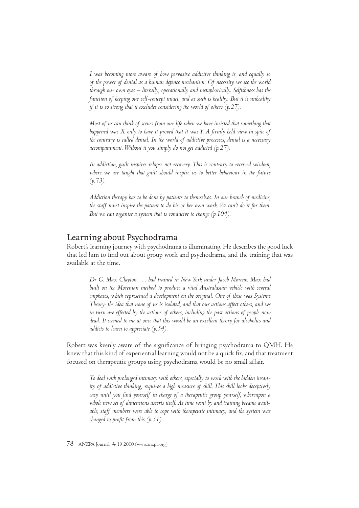*I was becoming more aware of how pervasive addictive thinking is, and equally so of the power of denial as a human defence mechanism. Of necessity we see the world*  through our own eyes – literally, operationally and metaphorically. Selfishness has the *function of keeping our self-concept intact, and as such is healthy. But it is unhealthy if it is so strong that it excludes considering the world of others (p.27).*

*Most of us can think of scenes from our life when we have insisted that something that happened was X only to have it proved that it was Y. A firmly held view in spite of the contrary is called denial. In the world of addictive processes, denial is a necessary accompaniment. Without it you simply do not get addicted (p.27).*

*In addiction, guilt inspires relapse not recovery. This is contrary to received wisdom,*  where we are taught that guilt should inspire us to better behaviour in the future *(p.73).*

*Addiction therapy has to be done by patients to themselves. In our branch of medicine, the staff must inspire the patient to do his or her own work. We can't do it for them. But we can organise a system that is conducive to change (p.104).*

#### Learning about Psychodrama

Robert's learning journey with psychodrama is illuminating. He describes the good luck that led him to find out about group work and psychodrama, and the training that was available at the time.

*Dr G. Max Clayton . . . had trained in New York under Jacob Moreno. Max had*  built on the Morenian method to produce a vital Australasian vehicle with several *emphases, which represented a development on the original. One of these was Systems Theory: the idea that none of us is isolated, and that our actions affect others, and we in turn are effected by the actions of others, including the past actions of people now dead. It seemed to me at once that this would be an excellent theory for alcoholics and addicts to learn to appreciate (p.54).*

Robert was keenly aware of the significance of bringing psychodrama to QMH. He knew that this kind of experiential learning would not be a quick fix, and that treatment focused on therapeutic groups using psychodrama would be no small affair.

*To deal with prolonged intimacy with others, especially to work with the hidden insanity of addictive thinking, requires a high measure of skill. This skill looks deceptively*  easy until you find yourself in charge of a therapeutic group yourself, whereupon a *whole new set of dimensions asserts itself. As time went by and training became available, staff members were able to cope with therapeutic intimacy, and the system was changed to profit from this (p.51).* 

78 ANZPA Journal # 19 2010 (www.anzpa.org)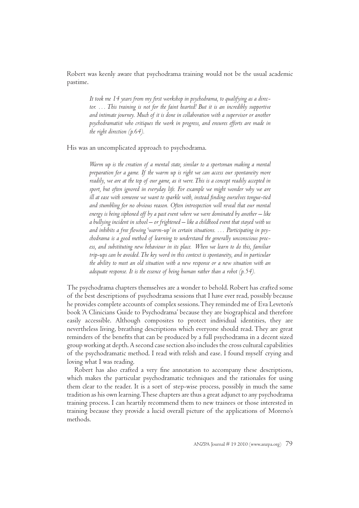Robert was keenly aware that psychodrama training would not be the usual academic pastime.

It took me 14 years from my first workshop in psychodrama, to qualifying as a director. ... This training is not for the faint hearted! But it is an incredibly supportive *and intimate journey. Much of it is done in collaboration with a supervisor or another psychodramatist who critiques the work in progress, and ensures efforts are made in the right direction (p.64).*

His was an uncomplicated approach to psychodrama.

*Warm up is the creation of a mental state, similar to a sportsman making a mental preparation for a game. If the warm up is right we can access our spontaneity more readily, we are at the top of our game, as it were. This is a concept readily accepted in sport, but often ignored in everyday life. For example we might wonder why we are*  ill at ease with someone we want to sparkle with, instead finding ourselves tongue-tied *and stumbling for no obvious reason. Often introspection will reveal that our mental energy is being siphoned off by a past event where we were dominated by another – like a bullying incident in school – or frightened – like a childhood event that stayed with us*  and inhibits a free flowing 'warm-up' in certain situations. . . . Participating in psy*chodrama is a good method of learning to understand the generally unconscious process, and substituting new behaviour in its place. When we learn to do this, familiar trip-ups can be avoided. The key word in this context is spontaneity, and in particular the ability to meet an old situation with a new response or a new situation with an adequate response. It is the essence of being human rather than a robot (p.54).*

The psychodrama chapters themselves are a wonder to behold. Robert has crafted some of the best descriptions of psychodrama sessions that I have ever read, possibly because he provides complete accounts of complex sessions. They reminded me of Eva Leveton's book 'A Clinicians Guide to Psychodrama' because they are biographical and therefore easily accessible. Although composites to protect individual identities, they are nevertheless living, breathing descriptions which everyone should read. They are great reminders of the benefits that can be produced by a full psychodrama in a decent sized group working at depth. A second case section also includes the cross cultural capabilities of the psychodramatic method. I read with relish and ease. I found myself crying and loving what I was reading.

Robert has also crafted a very fine annotation to accompany these descriptions, which makes the particular psychodramatic techniques and the rationales for using them clear to the reader. It is a sort of step-wise process, possibly in much the same tradition as his own learning. These chapters are thus a great adjunct to any psychodrama training process. I can heartily recommend them to new trainees or those interested in training because they provide a lucid overall picture of the applications of Moreno's methods.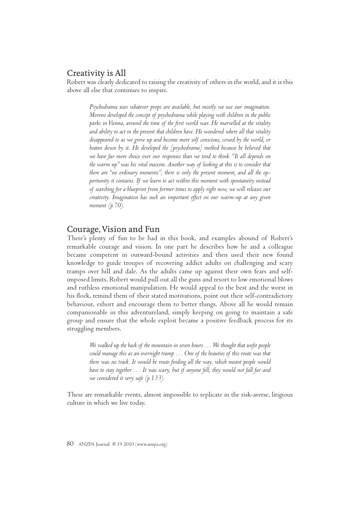### Creativity is All

Robert was clearly dedicated to raising the creativity of others in the world, and it is this above all else that continues to inspire.

*Psychodrama uses whatever props are available, but mostly we use our imagination. Moreno developed the concept of psychodrama while playing with children in the public parks in Vienna, around the time of the fi rst world war. He marvelled at the vitality and ability to act in the present that children have. He wondered where all that vitality disappeared to as we grow up and become more self conscious, cowed by the world, or beaten down by it. He developed the [psychodrama] method because he believed that we have far more choice over our responses than we tend to think. "It all depends on the warm up" was his vital maxim. Another way of looking at this is to consider that there are "no ordinary moments"; there is only the present moment, and all the opportunity it contains. If we learn to act within this moment with spontaneity instead of searching for a blueprint from former times to apply right now, we will releases our creativity. Imagination has such an important effect on our warm-up at any given moment (p.70).*

#### Courage, Vision and Fun

There's plenty of fun to be had in this book, and examples abound of Robert's remarkable courage and vision. In one part he describes how he and a colleague became competent in outward-bound activities and then used their new found knowledge to guide troupes of recovering addict adults on challenging and scary tramps over hill and dale. As the adults came up against their own fears and selfimposed limits, Robert would pull out all the guns and resort to low emotional blows and ruthless emotional manipulation. He would appeal to the best and the worst in his flock, remind them of their stated motivations, point out their self-contradictory behaviour, exhort and encourage them to better things. Above all he would remain companionable in this adventureland, simply keeping on going to maintain a safe group and ensure that the whole exploit became a positive feedback process for its struggling members.

*We walked up the back of the mountain in seven hours ... We thought that unfit people could manage this as an overnight tramp … One of the beauties of this route was that*  there was no track. It would be route finding all the way, which meant people would *have to stay together … It was scary, but if anyone fell, they would not fall far and we considered it very safe (p.133).* 

These are remarkable events, almost impossible to replicate in the risk-averse, litigious culture in which we live today.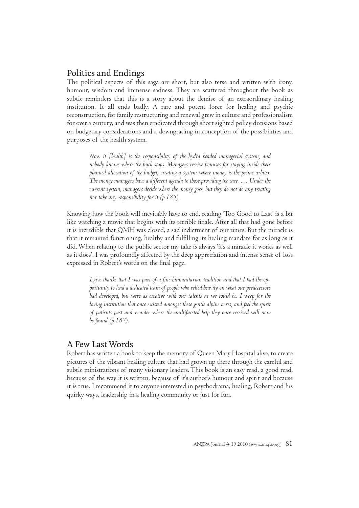# Politics and Endings

The political aspects of this saga are short, but also terse and written with irony, humour, wisdom and immense sadness. They are scattered throughout the book as subtle reminders that this is a story about the demise of an extraordinary healing institution. It all ends badly. A rare and potent force for healing and psychic reconstruction, for family restructuring and renewal grew in culture and professionalism for over a century, and was then eradicated through short sighted policy decisions based on budgetary considerations and a downgrading in conception of the possibilities and purposes of the health system.

*Now it [health] is the responsibility of the hydra headed managerial system, and nobody knows where the buck stops. Managers receive bonuses for staying inside their planned allocation of the budget, creating a system where money is the prime arbiter. The money managers have a different agenda to those providing the care. … Under the current system, managers decide where the money goes, but they do not do any treating nor take any responsibility for it (p.185).*

Knowing how the book will inevitably have to end, reading 'Too Good to Last' is a bit like watching a movie that begins with its terrible finale. After all that had gone before it is incredible that QMH was closed, a sad indictment of our times. But the miracle is that it remained functioning, healthy and fulfilling its healing mandate for as long as it did. When relating to the public sector my take is always 'it's a miracle it works as well as it does'. I was profoundly affected by the deep appreciation and intense sense of loss expressed in Robert's words on the final page.

I give thanks that I was part of a fine humanitarian tradition and that I had the op*portunity to lead a dedicated team of people who relied heavily on what our predecessors had developed, but were as creative with our talents as we could be. I weep for the loving institution that once existed amongst these gentle alpine acres, and feel the spirit of patients past and wonder where the multifaceted help they once received will now be found (p.187).*

## A Few Last Words

Robert has written a book to keep the memory of Queen Mary Hospital alive, to create pictures of the vibrant healing culture that had grown up there through the careful and subtle ministrations of many visionary leaders. This book is an easy read, a good read, because of the way it is written, because of it's author's humour and spirit and because it is true. I recommend it to anyone interested in psychodrama, healing, Robert and his quirky ways, leadership in a healing community or just for fun.